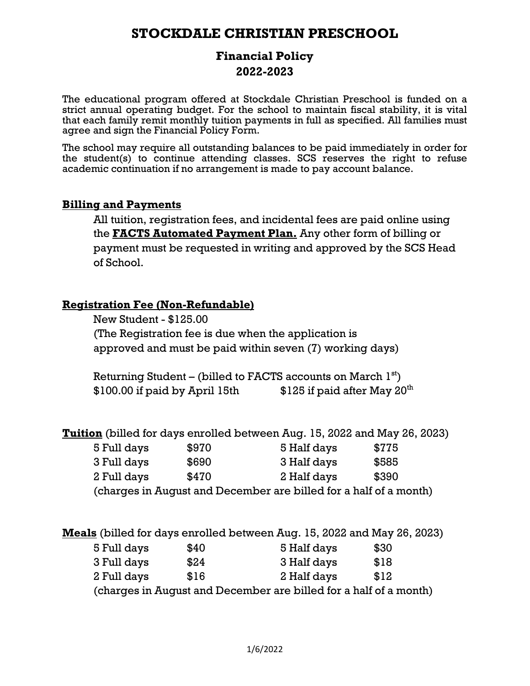# **STOCKDALE CHRISTIAN PRESCHOOL**

### **Financial Policy 2022-2023**

The educational program offered at Stockdale Christian Preschool is funded on a strict annual operating budget. For the school to maintain fiscal stability, it is vital that each family remit monthly tuition payments in full as specified. All families must agree and sign the Financial Policy Form.

The school may require all outstanding balances to be paid immediately in order for the student(s) to continue attending classes. SCS reserves the right to refuse academic continuation if no arrangement is made to pay account balance.

#### **Billing and Payments**

All tuition, registration fees, and incidental fees are paid online using the **FACTS Automated Payment Plan.** Any other form of billing or payment must be requested in writing and approved by the SCS Head of School.

#### **Registration Fee (Non-Refundable)**

New Student - \$125.00 (The Registration fee is due when the application is approved and must be paid within seven (7) working days)

Returning Student – (billed to FACTS accounts on March  $1^\mathrm{st})$ \$100.00 if paid by April 15th  $$125$  if paid after May  $20<sup>th</sup>$ 

**Tuition** (billed for days enrolled between Aug. 15, 2022 and May 26, 2023)

| 5 Full days                                                       | \$970 | 5 Half days | \$775 |  |  |
|-------------------------------------------------------------------|-------|-------------|-------|--|--|
| 3 Full days                                                       | \$690 | 3 Half days | \$585 |  |  |
| 2 Full days                                                       | \$470 | 2 Half days | \$390 |  |  |
| (charges in August and December are billed for a half of a month) |       |             |       |  |  |

|             |      | Meals (billed for days enrolled between Aug. 15, 2022 and May 26, 2023) |      |  |
|-------------|------|-------------------------------------------------------------------------|------|--|
| 5 Full days | \$40 | 5 Half days                                                             | \$30 |  |
| 3 Full days | \$24 | 3 Half days                                                             | \$18 |  |
| 2 Full days | \$16 | 2 Half days                                                             | \$12 |  |
|             |      | (charges in August and December are billed for a half of a month)       |      |  |